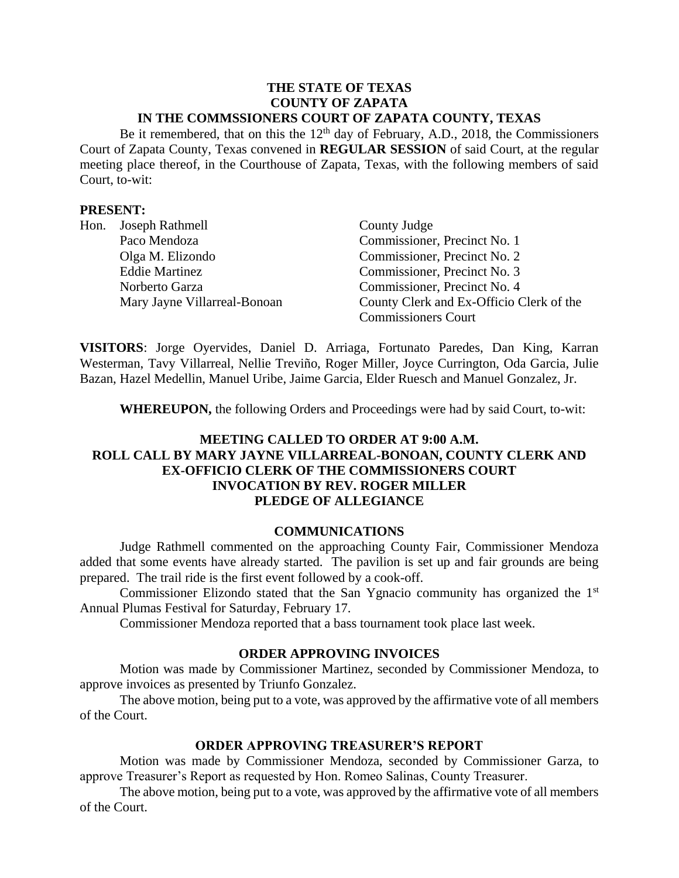#### **THE STATE OF TEXAS COUNTY OF ZAPATA IN THE COMMSSIONERS COURT OF ZAPATA COUNTY, TEXAS**

Be it remembered, that on this the  $12<sup>th</sup>$  day of February, A.D., 2018, the Commissioners Court of Zapata County, Texas convened in **REGULAR SESSION** of said Court, at the regular meeting place thereof, in the Courthouse of Zapata, Texas, with the following members of said Court, to-wit:

## **PRESENT:**

| Hon. | Joseph Rathmell              | County Judge                             |  |
|------|------------------------------|------------------------------------------|--|
|      | Paco Mendoza                 | Commissioner, Precinct No. 1             |  |
|      | Olga M. Elizondo             | Commissioner, Precinct No. 2             |  |
|      | <b>Eddie Martinez</b>        | Commissioner, Precinct No. 3             |  |
|      | Norberto Garza               | Commissioner, Precinct No. 4             |  |
|      | Mary Jayne Villarreal-Bonoan | County Clerk and Ex-Officio Clerk of the |  |
|      |                              | <b>Commissioners Court</b>               |  |

**VISITORS**: Jorge Oyervides, Daniel D. Arriaga, Fortunato Paredes, Dan King, Karran Westerman, Tavy Villarreal, Nellie Treviño, Roger Miller, Joyce Currington, Oda Garcia, Julie Bazan, Hazel Medellin, Manuel Uribe, Jaime Garcia, Elder Ruesch and Manuel Gonzalez, Jr.

**WHEREUPON,** the following Orders and Proceedings were had by said Court, to-wit:

# **MEETING CALLED TO ORDER AT 9:00 A.M. ROLL CALL BY MARY JAYNE VILLARREAL-BONOAN, COUNTY CLERK AND EX-OFFICIO CLERK OF THE COMMISSIONERS COURT INVOCATION BY REV. ROGER MILLER PLEDGE OF ALLEGIANCE**

### **COMMUNICATIONS**

Judge Rathmell commented on the approaching County Fair, Commissioner Mendoza added that some events have already started. The pavilion is set up and fair grounds are being prepared. The trail ride is the first event followed by a cook-off.

Commissioner Elizondo stated that the San Ygnacio community has organized the 1<sup>st</sup> Annual Plumas Festival for Saturday, February 17.

Commissioner Mendoza reported that a bass tournament took place last week.

### **ORDER APPROVING INVOICES**

Motion was made by Commissioner Martinez, seconded by Commissioner Mendoza, to approve invoices as presented by Triunfo Gonzalez.

The above motion, being put to a vote, was approved by the affirmative vote of all members of the Court.

### **ORDER APPROVING TREASURER'S REPORT**

Motion was made by Commissioner Mendoza, seconded by Commissioner Garza, to approve Treasurer's Report as requested by Hon. Romeo Salinas, County Treasurer.

The above motion, being put to a vote, was approved by the affirmative vote of all members of the Court.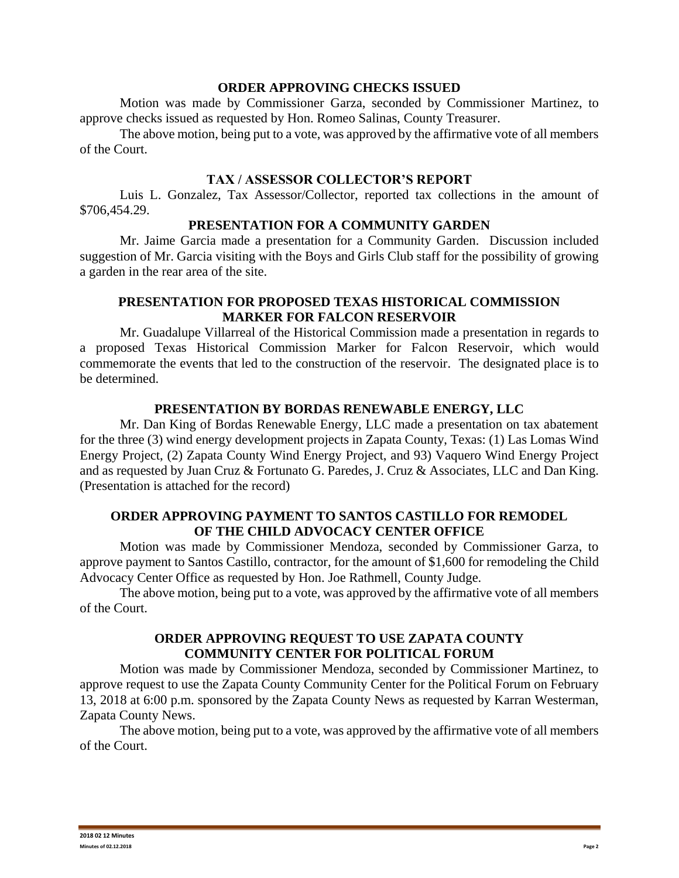### **ORDER APPROVING CHECKS ISSUED**

Motion was made by Commissioner Garza, seconded by Commissioner Martinez, to approve checks issued as requested by Hon. Romeo Salinas, County Treasurer.

The above motion, being put to a vote, was approved by the affirmative vote of all members of the Court.

### **TAX / ASSESSOR COLLECTOR'S REPORT**

Luis L. Gonzalez, Tax Assessor/Collector, reported tax collections in the amount of \$706,454.29.

#### **PRESENTATION FOR A COMMUNITY GARDEN**

Mr. Jaime Garcia made a presentation for a Community Garden. Discussion included suggestion of Mr. Garcia visiting with the Boys and Girls Club staff for the possibility of growing a garden in the rear area of the site.

## **PRESENTATION FOR PROPOSED TEXAS HISTORICAL COMMISSION MARKER FOR FALCON RESERVOIR**

Mr. Guadalupe Villarreal of the Historical Commission made a presentation in regards to a proposed Texas Historical Commission Marker for Falcon Reservoir, which would commemorate the events that led to the construction of the reservoir. The designated place is to be determined.

#### **PRESENTATION BY BORDAS RENEWABLE ENERGY, LLC**

Mr. Dan King of Bordas Renewable Energy, LLC made a presentation on tax abatement for the three (3) wind energy development projects in Zapata County, Texas: (1) Las Lomas Wind Energy Project, (2) Zapata County Wind Energy Project, and 93) Vaquero Wind Energy Project and as requested by Juan Cruz & Fortunato G. Paredes, J. Cruz & Associates, LLC and Dan King. (Presentation is attached for the record)

### **ORDER APPROVING PAYMENT TO SANTOS CASTILLO FOR REMODEL OF THE CHILD ADVOCACY CENTER OFFICE**

Motion was made by Commissioner Mendoza, seconded by Commissioner Garza, to approve payment to Santos Castillo, contractor, for the amount of \$1,600 for remodeling the Child Advocacy Center Office as requested by Hon. Joe Rathmell, County Judge.

The above motion, being put to a vote, was approved by the affirmative vote of all members of the Court.

## **ORDER APPROVING REQUEST TO USE ZAPATA COUNTY COMMUNITY CENTER FOR POLITICAL FORUM**

Motion was made by Commissioner Mendoza, seconded by Commissioner Martinez, to approve request to use the Zapata County Community Center for the Political Forum on February 13, 2018 at 6:00 p.m. sponsored by the Zapata County News as requested by Karran Westerman, Zapata County News.

The above motion, being put to a vote, was approved by the affirmative vote of all members of the Court.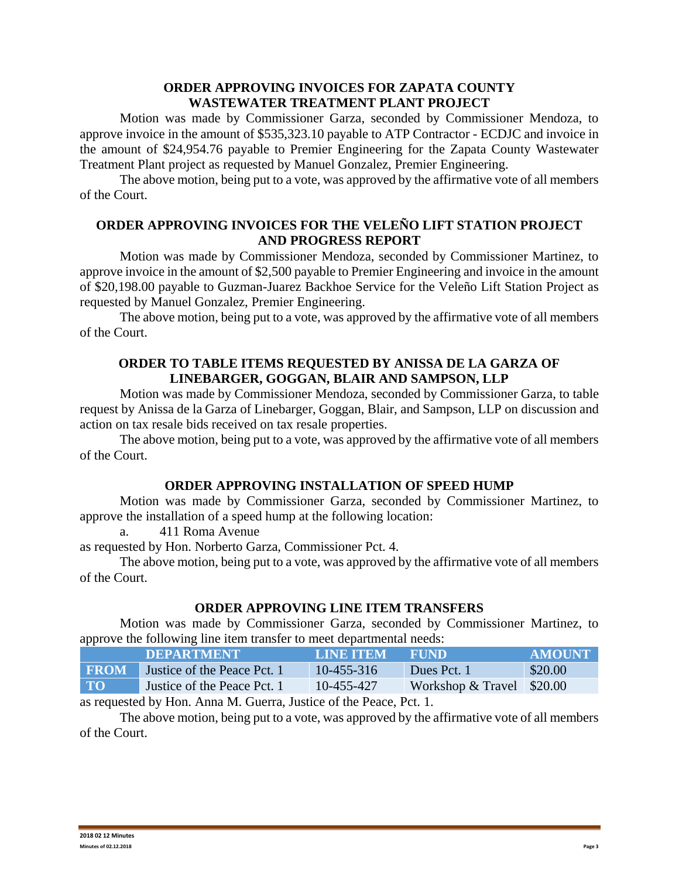## **ORDER APPROVING INVOICES FOR ZAPATA COUNTY WASTEWATER TREATMENT PLANT PROJECT**

Motion was made by Commissioner Garza, seconded by Commissioner Mendoza, to approve invoice in the amount of \$535,323.10 payable to ATP Contractor - ECDJC and invoice in the amount of \$24,954.76 payable to Premier Engineering for the Zapata County Wastewater Treatment Plant project as requested by Manuel Gonzalez, Premier Engineering.

The above motion, being put to a vote, was approved by the affirmative vote of all members of the Court.

## **ORDER APPROVING INVOICES FOR THE VELEÑO LIFT STATION PROJECT AND PROGRESS REPORT**

Motion was made by Commissioner Mendoza, seconded by Commissioner Martinez, to approve invoice in the amount of \$2,500 payable to Premier Engineering and invoice in the amount of \$20,198.00 payable to Guzman-Juarez Backhoe Service for the Veleño Lift Station Project as requested by Manuel Gonzalez, Premier Engineering.

The above motion, being put to a vote, was approved by the affirmative vote of all members of the Court.

## **ORDER TO TABLE ITEMS REQUESTED BY ANISSA DE LA GARZA OF LINEBARGER, GOGGAN, BLAIR AND SAMPSON, LLP**

Motion was made by Commissioner Mendoza, seconded by Commissioner Garza, to table request by Anissa de la Garza of Linebarger, Goggan, Blair, and Sampson, LLP on discussion and action on tax resale bids received on tax resale properties.

The above motion, being put to a vote, was approved by the affirmative vote of all members of the Court.

# **ORDER APPROVING INSTALLATION OF SPEED HUMP**

Motion was made by Commissioner Garza, seconded by Commissioner Martinez, to approve the installation of a speed hump at the following location:

a. 411 Roma Avenue

as requested by Hon. Norberto Garza, Commissioner Pct. 4.

The above motion, being put to a vote, was approved by the affirmative vote of all members of the Court.

### **ORDER APPROVING LINE ITEM TRANSFERS**

Motion was made by Commissioner Garza, seconded by Commissioner Martinez, to approve the following line item transfer to meet departmental needs:

|             | 'DEPARTMENT .               | LINE ITEM        | THUND                     | <b>AMOUNT</b> |
|-------------|-----------------------------|------------------|---------------------------|---------------|
| <b>FROM</b> | Justice of the Peace Pct. 1 | $10 - 455 - 316$ | Dues Pct. 1               | \$20.00       |
| $\bf{TO}$   | Justice of the Peace Pct. 1 | $10 - 455 - 427$ | Workshop & Travel \$20.00 |               |

as requested by Hon. Anna M. Guerra, Justice of the Peace, Pct. 1.

The above motion, being put to a vote, was approved by the affirmative vote of all members of the Court.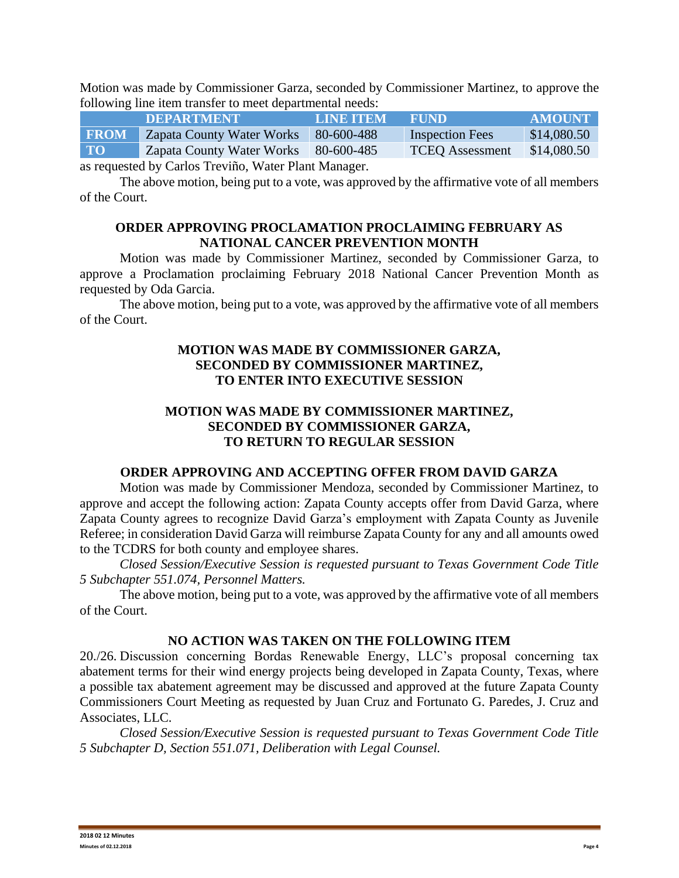Motion was made by Commissioner Garza, seconded by Commissioner Martinez, to approve the following line item transfer to meet departmental needs:

|                                                | <b>DEPARTMENT</b>         | LINE ITEM  | <b>ERUND</b>           | <b>AMOUNT</b> |  |  |  |
|------------------------------------------------|---------------------------|------------|------------------------|---------------|--|--|--|
| <b>FROM</b>                                    | Zapata County Water Works | 80-600-488 | <b>Inspection Fees</b> | \$14,080.50   |  |  |  |
| <b>TO</b>                                      | Zapata County Water Works | 80-600-485 | <b>TCEO</b> Assessment | \$14,080.50   |  |  |  |
| equated by Carlos Travião, Water Dlant Manager |                           |            |                        |               |  |  |  |

as requested by Carlos Treviño, Water Plant Manager.

The above motion, being put to a vote, was approved by the affirmative vote of all members of the Court.

## **ORDER APPROVING PROCLAMATION PROCLAIMING FEBRUARY AS NATIONAL CANCER PREVENTION MONTH**

Motion was made by Commissioner Martinez, seconded by Commissioner Garza, to approve a Proclamation proclaiming February 2018 National Cancer Prevention Month as requested by Oda Garcia.

The above motion, being put to a vote, was approved by the affirmative vote of all members of the Court.

## **MOTION WAS MADE BY COMMISSIONER GARZA, SECONDED BY COMMISSIONER MARTINEZ, TO ENTER INTO EXECUTIVE SESSION**

# **MOTION WAS MADE BY COMMISSIONER MARTINEZ, SECONDED BY COMMISSIONER GARZA, TO RETURN TO REGULAR SESSION**

# **ORDER APPROVING AND ACCEPTING OFFER FROM DAVID GARZA**

Motion was made by Commissioner Mendoza, seconded by Commissioner Martinez, to approve and accept the following action: Zapata County accepts offer from David Garza, where Zapata County agrees to recognize David Garza's employment with Zapata County as Juvenile Referee; in consideration David Garza will reimburse Zapata County for any and all amounts owed to the TCDRS for both county and employee shares.

*Closed Session/Executive Session is requested pursuant to Texas Government Code Title 5 Subchapter 551.074, Personnel Matters.*

The above motion, being put to a vote, was approved by the affirmative vote of all members of the Court.

# **NO ACTION WAS TAKEN ON THE FOLLOWING ITEM**

20./26. Discussion concerning Bordas Renewable Energy, LLC's proposal concerning tax abatement terms for their wind energy projects being developed in Zapata County, Texas, where a possible tax abatement agreement may be discussed and approved at the future Zapata County Commissioners Court Meeting as requested by Juan Cruz and Fortunato G. Paredes, J. Cruz and Associates, LLC.

*Closed Session/Executive Session is requested pursuant to Texas Government Code Title 5 Subchapter D, Section 551.071, Deliberation with Legal Counsel.*